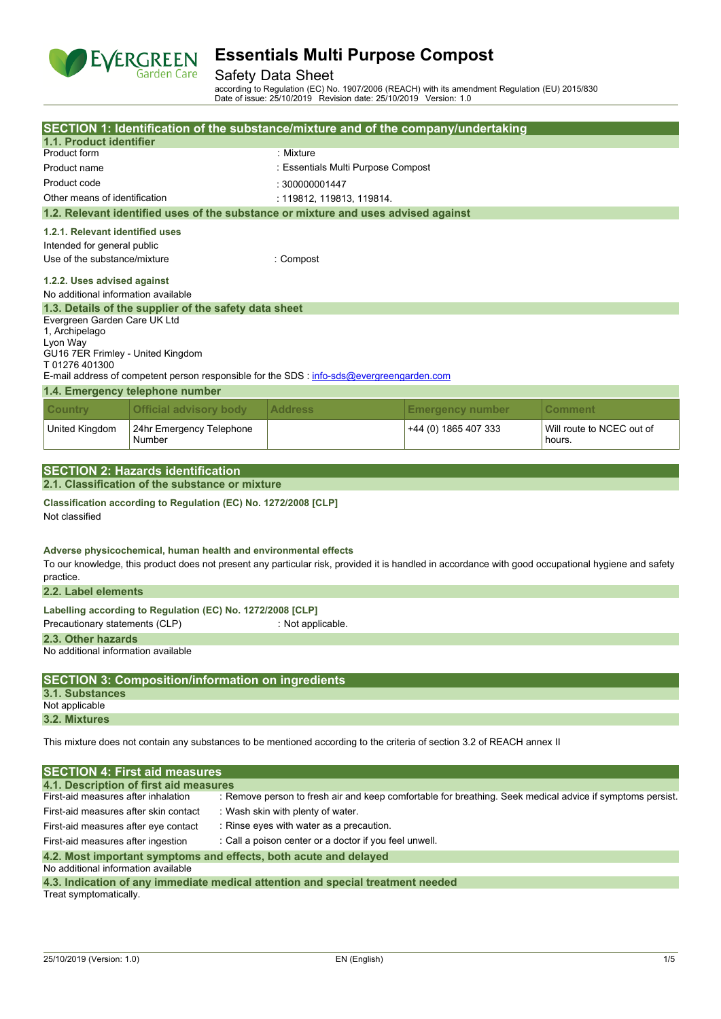

## Safety Data Sheet

according to Regulation (EC) No. 1907/2006 (REACH) with its amendment Regulation (EU) 2015/830 Date of issue: 25/10/2019 Revision date: 25/10/2019 Version: 1.0

|                                                |                                                                 |  |                                                                                           | SECTION 1: Identification of the substance/mixture and of the company/undertaking                                       |                                                                                                                                                     |  |
|------------------------------------------------|-----------------------------------------------------------------|--|-------------------------------------------------------------------------------------------|-------------------------------------------------------------------------------------------------------------------------|-----------------------------------------------------------------------------------------------------------------------------------------------------|--|
| 1.1. Product identifier                        |                                                                 |  |                                                                                           |                                                                                                                         |                                                                                                                                                     |  |
| Product form                                   |                                                                 |  | : Mixture                                                                                 |                                                                                                                         |                                                                                                                                                     |  |
| Product name                                   |                                                                 |  | : Essentials Multi Purpose Compost                                                        |                                                                                                                         |                                                                                                                                                     |  |
| Product code                                   |                                                                 |  | : 300000001447                                                                            |                                                                                                                         |                                                                                                                                                     |  |
| Other means of identification                  |                                                                 |  | : 119812, 119813, 119814.                                                                 |                                                                                                                         |                                                                                                                                                     |  |
|                                                |                                                                 |  | 1.2. Relevant identified uses of the substance or mixture and uses advised against        |                                                                                                                         |                                                                                                                                                     |  |
| 1.2.1. Relevant identified uses                |                                                                 |  |                                                                                           |                                                                                                                         |                                                                                                                                                     |  |
| Intended for general public                    |                                                                 |  |                                                                                           |                                                                                                                         |                                                                                                                                                     |  |
| Use of the substance/mixture                   |                                                                 |  | : Compost                                                                                 |                                                                                                                         |                                                                                                                                                     |  |
|                                                |                                                                 |  |                                                                                           |                                                                                                                         |                                                                                                                                                     |  |
| 1.2.2. Uses advised against                    |                                                                 |  |                                                                                           |                                                                                                                         |                                                                                                                                                     |  |
| No additional information available            |                                                                 |  |                                                                                           |                                                                                                                         |                                                                                                                                                     |  |
|                                                | 1.3. Details of the supplier of the safety data sheet           |  |                                                                                           |                                                                                                                         |                                                                                                                                                     |  |
| Evergreen Garden Care UK Ltd<br>1, Archipelago |                                                                 |  |                                                                                           |                                                                                                                         |                                                                                                                                                     |  |
| Lyon Way                                       |                                                                 |  |                                                                                           |                                                                                                                         |                                                                                                                                                     |  |
| GU16 7ER Frimley - United Kingdom              |                                                                 |  |                                                                                           |                                                                                                                         |                                                                                                                                                     |  |
| T01276401300                                   |                                                                 |  |                                                                                           |                                                                                                                         |                                                                                                                                                     |  |
|                                                |                                                                 |  | E-mail address of competent person responsible for the SDS : info-sds@evergreengarden.com |                                                                                                                         |                                                                                                                                                     |  |
|                                                | 1.4. Emergency telephone number                                 |  |                                                                                           |                                                                                                                         |                                                                                                                                                     |  |
| <b>Country</b>                                 | <b>Official advisory body</b>                                   |  | <b>Address</b>                                                                            | <b>Emergency number</b>                                                                                                 | Comment                                                                                                                                             |  |
| United Kingdom                                 | 24hr Emergency Telephone<br>Number                              |  |                                                                                           | +44 (0) 1865 407 333                                                                                                    | Will route to NCEC out of<br>hours.                                                                                                                 |  |
|                                                |                                                                 |  |                                                                                           |                                                                                                                         |                                                                                                                                                     |  |
|                                                | <b>SECTION 2: Hazards identification</b>                        |  |                                                                                           |                                                                                                                         |                                                                                                                                                     |  |
|                                                | 2.1. Classification of the substance or mixture                 |  |                                                                                           |                                                                                                                         |                                                                                                                                                     |  |
| Not classified                                 | Classification according to Regulation (EC) No. 1272/2008 [CLP] |  |                                                                                           |                                                                                                                         |                                                                                                                                                     |  |
|                                                | Adverse physicochemical, human health and environmental effects |  |                                                                                           |                                                                                                                         | To our knowledge, this product does not present any particular risk, provided it is handled in accordance with good occupational hygiene and safety |  |
| practice.<br>2.2. Label elements               |                                                                 |  |                                                                                           |                                                                                                                         |                                                                                                                                                     |  |
|                                                |                                                                 |  |                                                                                           |                                                                                                                         |                                                                                                                                                     |  |
|                                                | Labelling according to Regulation (EC) No. 1272/2008 [CLP]      |  |                                                                                           |                                                                                                                         |                                                                                                                                                     |  |
| Precautionary statements (CLP)                 |                                                                 |  | : Not applicable.                                                                         |                                                                                                                         |                                                                                                                                                     |  |
| 2.3. Other hazards                             |                                                                 |  |                                                                                           |                                                                                                                         |                                                                                                                                                     |  |
| No additional information available            |                                                                 |  |                                                                                           |                                                                                                                         |                                                                                                                                                     |  |
|                                                |                                                                 |  |                                                                                           |                                                                                                                         |                                                                                                                                                     |  |
|                                                | <b>SECTION 3: Composition/information on ingredients</b>        |  |                                                                                           |                                                                                                                         |                                                                                                                                                     |  |
| 3.1. Substances<br>Not applicable              |                                                                 |  |                                                                                           |                                                                                                                         |                                                                                                                                                     |  |
| 3.2. Mixtures                                  |                                                                 |  |                                                                                           |                                                                                                                         |                                                                                                                                                     |  |
|                                                |                                                                 |  |                                                                                           |                                                                                                                         |                                                                                                                                                     |  |
|                                                |                                                                 |  |                                                                                           | This mixture does not contain any substances to be mentioned according to the criteria of section 3.2 of REACH annex II |                                                                                                                                                     |  |
|                                                | <b>SECTION 4: First aid measures</b>                            |  |                                                                                           |                                                                                                                         |                                                                                                                                                     |  |
|                                                | 4.1. Description of first aid measures                          |  |                                                                                           |                                                                                                                         |                                                                                                                                                     |  |
| First-aid measures after inhalation            |                                                                 |  |                                                                                           |                                                                                                                         | : Remove person to fresh air and keep comfortable for breathing. Seek medical advice if symptoms persist.                                           |  |
| First-aid measures after skin contact          |                                                                 |  | : Wash skin with plenty of water.                                                         |                                                                                                                         |                                                                                                                                                     |  |
| First-aid measures after eye contact           |                                                                 |  | : Rinse eyes with water as a precaution.                                                  |                                                                                                                         |                                                                                                                                                     |  |
| First-aid measures after ingestion             |                                                                 |  | : Call a poison center or a doctor if you feel unwell.                                    |                                                                                                                         |                                                                                                                                                     |  |
|                                                |                                                                 |  | 4.2. Most important symptoms and effects, both acute and delayed                          |                                                                                                                         |                                                                                                                                                     |  |
| No additional information available            |                                                                 |  |                                                                                           |                                                                                                                         |                                                                                                                                                     |  |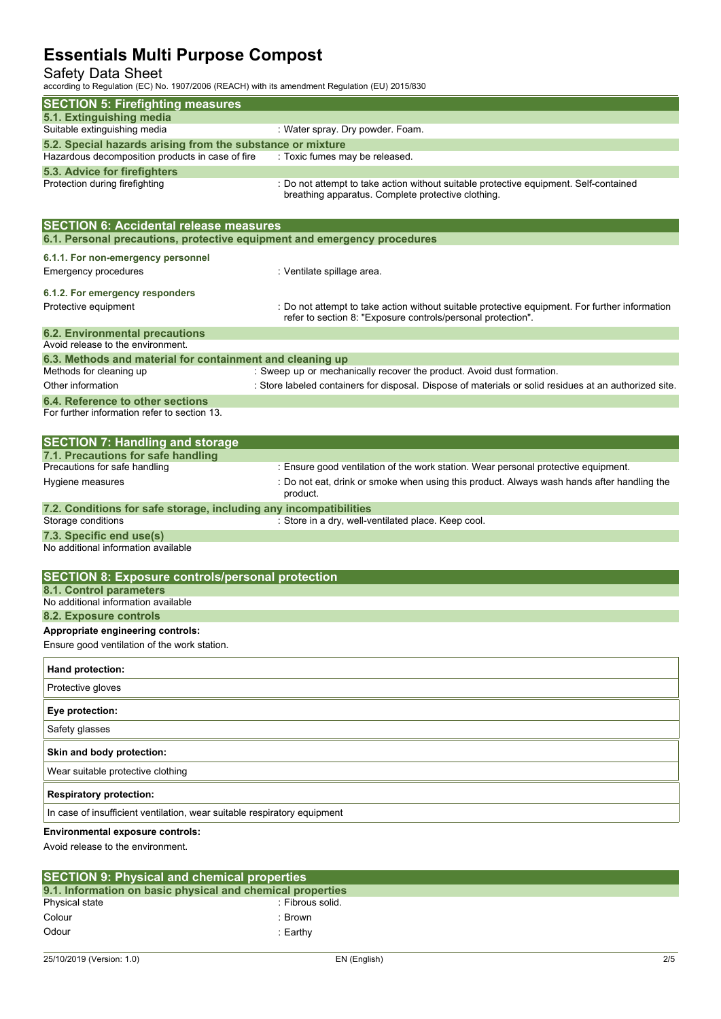## Safety Data Sheet

according to Regulation (EC) No. 1907/2006 (REACH) with its amendment Regulation (EU) 2015/830

| according to regulation (EO) NO. 1907/2000 (NEAOH) With its americanent regulation (EO) 2019/000 |                                                                                                                                                                |
|--------------------------------------------------------------------------------------------------|----------------------------------------------------------------------------------------------------------------------------------------------------------------|
| <b>SECTION 5: Firefighting measures</b>                                                          |                                                                                                                                                                |
| 5.1. Extinguishing media<br>Suitable extinguishing media                                         | : Water spray. Dry powder. Foam.                                                                                                                               |
| 5.2. Special hazards arising from the substance or mixture                                       |                                                                                                                                                                |
| Hazardous decomposition products in case of fire                                                 | : Toxic fumes may be released.                                                                                                                                 |
| 5.3. Advice for firefighters                                                                     |                                                                                                                                                                |
| Protection during firefighting                                                                   | : Do not attempt to take action without suitable protective equipment. Self-contained<br>breathing apparatus. Complete protective clothing.                    |
| <b>SECTION 6: Accidental release measures</b>                                                    |                                                                                                                                                                |
| 6.1. Personal precautions, protective equipment and emergency procedures                         |                                                                                                                                                                |
| 6.1.1. For non-emergency personnel                                                               |                                                                                                                                                                |
| <b>Emergency procedures</b>                                                                      | : Ventilate spillage area.                                                                                                                                     |
| 6.1.2. For emergency responders                                                                  |                                                                                                                                                                |
| Protective equipment                                                                             | : Do not attempt to take action without suitable protective equipment. For further information<br>refer to section 8: "Exposure controls/personal protection". |
| <b>6.2. Environmental precautions</b>                                                            |                                                                                                                                                                |
| Avoid release to the environment.<br>6.3. Methods and material for containment and cleaning up   |                                                                                                                                                                |
| Methods for cleaning up                                                                          | : Sweep up or mechanically recover the product. Avoid dust formation.                                                                                          |
| Other information                                                                                | : Store labeled containers for disposal. Dispose of materials or solid residues at an authorized site.                                                         |
| 6.4. Reference to other sections<br>For further information refer to section 13.                 |                                                                                                                                                                |
| <b>SECTION 7: Handling and storage</b>                                                           |                                                                                                                                                                |
| 7.1. Precautions for safe handling                                                               |                                                                                                                                                                |
| Precautions for safe handling                                                                    | : Ensure good ventilation of the work station. Wear personal protective equipment.                                                                             |
| Hygiene measures                                                                                 | : Do not eat, drink or smoke when using this product. Always wash hands after handling the<br>product.                                                         |
| 7.2. Conditions for safe storage, including any incompatibilities                                |                                                                                                                                                                |
| Storage conditions                                                                               | : Store in a dry, well-ventilated place. Keep cool.                                                                                                            |
| 7.3. Specific end use(s)<br>No additional information available                                  |                                                                                                                                                                |
| <b>SECTION 8: Exposure controls/personal protection</b>                                          |                                                                                                                                                                |
| 8.1. Control parameters                                                                          |                                                                                                                                                                |
| No additional information available                                                              |                                                                                                                                                                |
| 8.2. Exposure controls                                                                           |                                                                                                                                                                |
| Appropriate engineering controls:<br>Ensure good ventilation of the work station.                |                                                                                                                                                                |
|                                                                                                  |                                                                                                                                                                |
| Hand protection:                                                                                 |                                                                                                                                                                |
| Protective gloves                                                                                |                                                                                                                                                                |
| Eye protection:                                                                                  |                                                                                                                                                                |
| Safety glasses                                                                                   |                                                                                                                                                                |
| Skin and body protection:                                                                        |                                                                                                                                                                |
| Wear suitable protective clothing                                                                |                                                                                                                                                                |
| <b>Respiratory protection:</b>                                                                   |                                                                                                                                                                |
| In case of insufficient ventilation, wear suitable respiratory equipment                         |                                                                                                                                                                |
| Environmental exposure controls:<br>Avoid release to the environment.                            |                                                                                                                                                                |

| <b>SECTION 9: Physical and chemical properties</b>         |                  |  |  |  |
|------------------------------------------------------------|------------------|--|--|--|
| 9.1. Information on basic physical and chemical properties |                  |  |  |  |
| Physical state                                             | : Fibrous solid. |  |  |  |
| Colour                                                     | : Brown          |  |  |  |
| Odour                                                      | :Earthv          |  |  |  |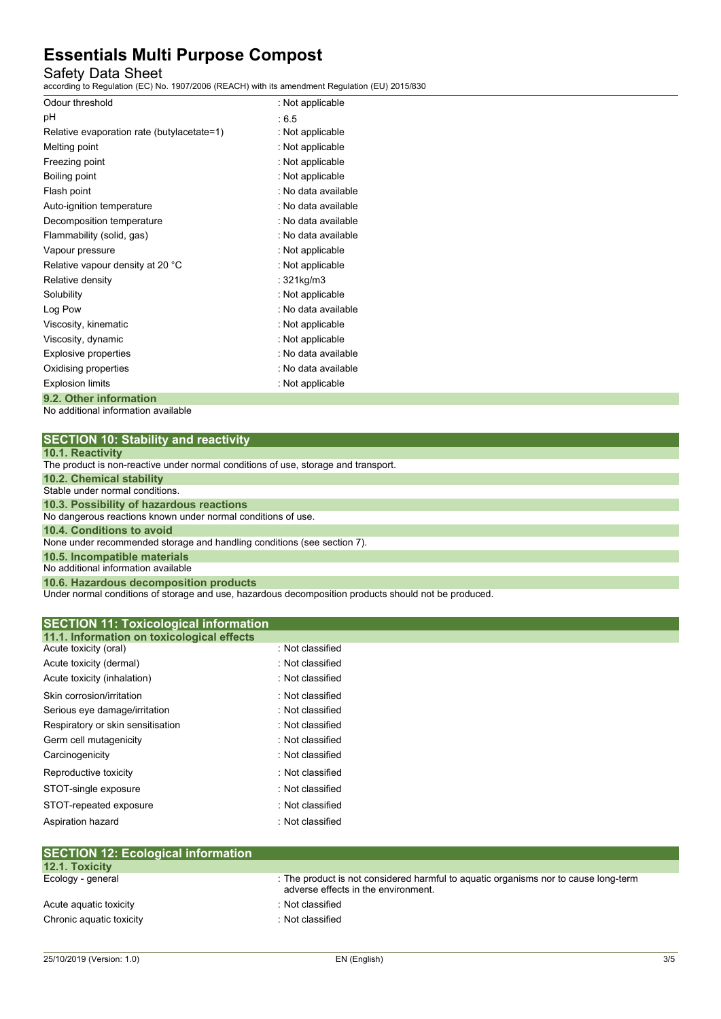## Safety Data Sheet

according to Regulation (EC) No. 1907/2006 (REACH) with its amendment Regulation (EU) 2015/830

| Odour threshold                            | : Not applicable    |
|--------------------------------------------|---------------------|
| pH                                         | :6.5                |
| Relative evaporation rate (butylacetate=1) | : Not applicable    |
| Melting point                              | : Not applicable    |
| Freezing point                             | : Not applicable    |
| Boiling point                              | : Not applicable    |
| Flash point                                | : No data available |
| Auto-ignition temperature                  | : No data available |
| Decomposition temperature                  | : No data available |
| Flammability (solid, gas)                  | : No data available |
| Vapour pressure                            | : Not applicable    |
| Relative vapour density at 20 °C           | : Not applicable    |
| Relative density                           | : 321kg/m3          |
| Solubility                                 | : Not applicable    |
| Log Pow                                    | : No data available |
| Viscosity, kinematic                       | : Not applicable    |
| Viscosity, dynamic                         | : Not applicable    |
| Explosive properties                       | : No data available |
| Oxidising properties                       | : No data available |
| <b>Explosion limits</b>                    | : Not applicable    |
| 9.2. Other information                     |                     |

No additional information available

| <b>SECTION 10: Stability and reactivity</b> |  |
|---------------------------------------------|--|
|---------------------------------------------|--|

|  |  | 10.1. Reactivity |  |
|--|--|------------------|--|
|  |  |                  |  |

| <b>IV.I. INGULIVILY</b>                                                            |
|------------------------------------------------------------------------------------|
| The product is non-reactive under normal conditions of use, storage and transport. |
| 10.2. Chemical stability                                                           |
| Stable under normal conditions.                                                    |
| 10.3. Possibility of hazardous reactions                                           |
| No dangerous reactions known under normal conditions of use.                       |
| 10.4. Conditions to avoid                                                          |
| None under recommended storage and handling conditions (see section 7).            |
| 10.5. Incompatible materials                                                       |
| No additional information available                                                |
| 10.6. Hazardous decomposition products                                             |

Under normal conditions of storage and use, hazardous decomposition products should not be produced.

| <b>SECTION 11: Toxicological information</b> |                  |  |
|----------------------------------------------|------------------|--|
| 11.1. Information on toxicological effects   |                  |  |
| Acute toxicity (oral)                        | : Not classified |  |
| Acute toxicity (dermal)                      | : Not classified |  |
| Acute toxicity (inhalation)                  | : Not classified |  |
| Skin corrosion/irritation                    | : Not classified |  |
| Serious eye damage/irritation                | : Not classified |  |
| Respiratory or skin sensitisation            | : Not classified |  |
| Germ cell mutagenicity                       | : Not classified |  |
| Carcinogenicity                              | : Not classified |  |
| Reproductive toxicity                        | : Not classified |  |
| STOT-single exposure                         | : Not classified |  |
| STOT-repeated exposure                       | : Not classified |  |
| Aspiration hazard                            | : Not classified |  |
|                                              |                  |  |
| <b>SECTION 12: Ecological information</b>    |                  |  |

| <b>SECTION 12: ECOlogical Information</b> |                                                                                                                            |
|-------------------------------------------|----------------------------------------------------------------------------------------------------------------------------|
| 12.1. Toxicity                            |                                                                                                                            |
| Ecology - general                         | : The product is not considered harmful to aquatic organisms nor to cause long-term<br>adverse effects in the environment. |
| Acute aguatic toxicity                    | : Not classified                                                                                                           |
| Chronic aquatic toxicity                  | : Not classified                                                                                                           |
|                                           |                                                                                                                            |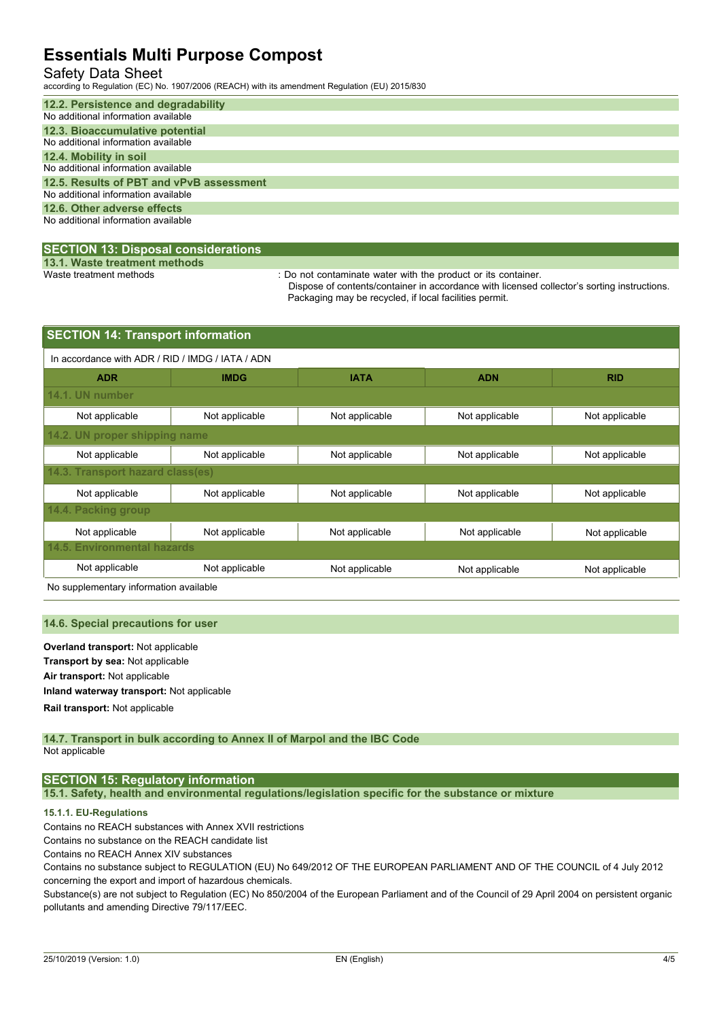## Safety Data Sheet

according to Regulation (EC) No. 1907/2006 (REACH) with its amendment Regulation (EU) 2015/830

| 12.2. Persistence and degradability      |
|------------------------------------------|
| No additional information available      |
| 12.3. Bioaccumulative potential          |
| No additional information available      |
| 12.4. Mobility in soil                   |
| No additional information available      |
| 12.5. Results of PBT and vPvB assessment |
| No additional information available      |
| 12.6. Other adverse effects              |
| No additional information available      |
|                                          |

### **SECTION 13: Disposal considerations**

**13.1. Waste treatment methods**

: Do not contaminate water with the product or its container.

Dispose of contents/container in accordance with licensed collector's sorting instructions. Packaging may be recycled, if local facilities permit.

| <b>SECTION 14: Transport information</b> |                                                  |                |                |                |  |  |  |  |
|------------------------------------------|--------------------------------------------------|----------------|----------------|----------------|--|--|--|--|
|                                          | In accordance with ADR / RID / IMDG / IATA / ADN |                |                |                |  |  |  |  |
| <b>ADR</b>                               | <b>IMDG</b>                                      | <b>IATA</b>    | <b>ADN</b>     | <b>RID</b>     |  |  |  |  |
| 14.1. UN number                          |                                                  |                |                |                |  |  |  |  |
| Not applicable                           | Not applicable                                   | Not applicable | Not applicable | Not applicable |  |  |  |  |
| 14.2. UN proper shipping name            |                                                  |                |                |                |  |  |  |  |
| Not applicable                           | Not applicable                                   | Not applicable | Not applicable | Not applicable |  |  |  |  |
|                                          | 14.3. Transport hazard class(es)                 |                |                |                |  |  |  |  |
| Not applicable                           | Not applicable                                   | Not applicable | Not applicable | Not applicable |  |  |  |  |
| 14.4. Packing group                      |                                                  |                |                |                |  |  |  |  |
| Not applicable                           | Not applicable                                   | Not applicable | Not applicable | Not applicable |  |  |  |  |
| <b>14.5. Environmental hazards</b>       |                                                  |                |                |                |  |  |  |  |
| Not applicable                           | Not applicable                                   | Not applicable | Not applicable | Not applicable |  |  |  |  |

No supplementary information available

### **14.6. Special precautions for user**

**Overland transport:** Not applicable **Transport by sea:** Not applicable **Air transport:** Not applicable **Inland waterway transport:** Not applicable **Rail.transport:** Not applicable

#### **14.7. Transport in bulk according to Annex II of Marpol and the IBC Code** Not applicable

## **SECTION 15: Regulatory information**

**15.1. Safety, health and environmental regulations/legislation specific for the substance or mixture**

### **15.1.1. EU-Regulations**

Contains no REACH substances with Annex XVII restrictions

Contains no substance on the REACH candidate list

Contains no REACH Annex XIV substances

Contains no substance subject to REGULATION (EU) No 649/2012 OF THE EUROPEAN PARLIAMENT AND OF THE COUNCIL of 4 July 2012 concerning the export and import of hazardous chemicals.

Substance(s) are not subject to Regulation (EC) No 850/2004 of the European Parliament and of the Council of 29 April 2004 on persistent organic pollutants and amending Directive 79/117/EEC.